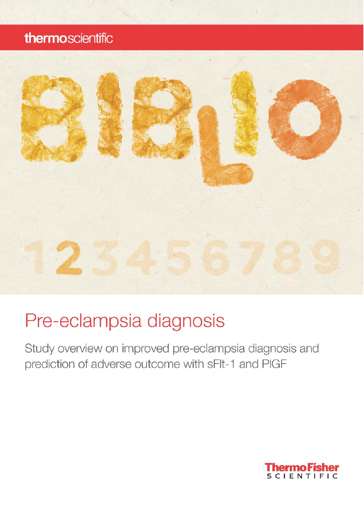## thermoscientific



# Pre-eclampsia diagnosis

Study overview on improved pre-eclampsia diagnosis and prediction of adverse outcome with sFlt-1 and PIGF

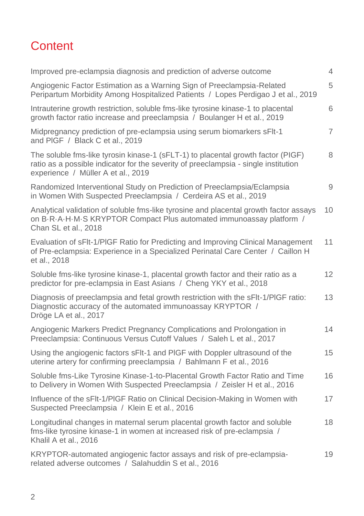# **Content**

| Improved pre-eclampsia diagnosis and prediction of adverse outcome                                                                                                                                            | 4              |
|---------------------------------------------------------------------------------------------------------------------------------------------------------------------------------------------------------------|----------------|
| Angiogenic Factor Estimation as a Warning Sign of Preeclampsia-Related<br>Peripartum Morbidity Among Hospitalized Patients / Lopes Perdigao J et al., 2019                                                    | 5              |
| Intrauterine growth restriction, soluble fms-like tyrosine kinase-1 to placental<br>growth factor ratio increase and preeclampsia / Boulanger H et al., 2019                                                  | 6              |
| Midpregnancy prediction of pre-eclampsia using serum biomarkers sFlt-1<br>and PIGF / Black C et al., 2019                                                                                                     | $\overline{7}$ |
| The soluble fms-like tyrosin kinase-1 (sFLT-1) to placental growth factor (PIGF)<br>ratio as a possible indicator for the severity of preeclampsia - single institution<br>experience / Müller A et al., 2019 | 8              |
| Randomized Interventional Study on Prediction of Preeclampsia/Eclampsia<br>in Women With Suspected Preeclampsia / Cerdeira AS et al., 2019                                                                    | 9              |
| Analytical validation of soluble fms-like tyrosine and placental growth factor assays<br>on B.R.A.H.M.S KRYPTOR Compact Plus automated immunoassay platform /<br>Chan SL et al., 2018                         | 10             |
| Evaluation of sFIt-1/PIGF Ratio for Predicting and Improving Clinical Management<br>of Pre-eclampsia: Experience in a Specialized Perinatal Care Center / Caillon H<br>et al., 2018                           | 11             |
| Soluble fms-like tyrosine kinase-1, placental growth factor and their ratio as a<br>predictor for pre-eclampsia in East Asians / Cheng YKY et al., 2018                                                       | 12             |
| Diagnosis of preeclampsia and fetal growth restriction with the sFIt-1/PIGF ratio:<br>Diagnostic accuracy of the automated immunoassay KRYPTOR /<br>Dröge LA et al., 2017                                     | 13             |
| Angiogenic Markers Predict Pregnancy Complications and Prolongation in<br>Preeclampsia: Continuous Versus Cutoff Values / Saleh L et al., 2017                                                                | 14             |
| Using the angiogenic factors sFIt-1 and PIGF with Doppler ultrasound of the<br>uterine artery for confirming preeclampsia / Bahlmann F et al., 2016                                                           | 15             |
| Soluble fms-Like Tyrosine Kinase-1-to-Placental Growth Factor Ratio and Time<br>to Delivery in Women With Suspected Preeclampsia / Zeisler H et al., 2016                                                     | 16             |
| Influence of the sFIt-1/PIGF Ratio on Clinical Decision-Making in Women with<br>Suspected Preeclampsia / Klein E et al., 2016                                                                                 | 17             |
| Longitudinal changes in maternal serum placental growth factor and soluble<br>fms-like tyrosine kinase-1 in women at increased risk of pre-eclampsia /<br>Khalil A et al., 2016                               | 18             |
| KRYPTOR-automated angiogenic factor assays and risk of pre-eclampsia-<br>related adverse outcomes / Salahuddin S et al., 2016                                                                                 | 19             |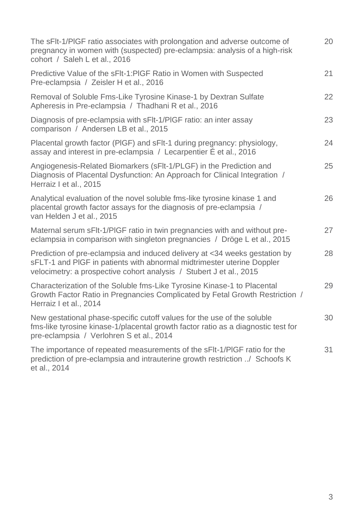| The sFIt-1/PIGF ratio associates with prolongation and adverse outcome of<br>pregnancy in women with (suspected) pre-eclampsia: analysis of a high-risk<br>cohort / Saleh L et al., 2016                                    | 20 |
|-----------------------------------------------------------------------------------------------------------------------------------------------------------------------------------------------------------------------------|----|
| Predictive Value of the sFIt-1:PIGF Ratio in Women with Suspected<br>Pre-eclampsia / Zeisler H et al., 2016                                                                                                                 | 21 |
| Removal of Soluble Fms-Like Tyrosine Kinase-1 by Dextran Sulfate<br>Apheresis in Pre-eclampsia / Thadhani R et al., 2016                                                                                                    | 22 |
| Diagnosis of pre-eclampsia with sFIt-1/PIGF ratio: an inter assay<br>comparison / Andersen LB et al., 2015                                                                                                                  | 23 |
| Placental growth factor (PIGF) and sFIt-1 during pregnancy: physiology,<br>assay and interest in pre-eclampsia / Lecarpentier E et al., 2016                                                                                | 24 |
| Angiogenesis-Related Biomarkers (sFlt-1/PLGF) in the Prediction and<br>Diagnosis of Placental Dysfunction: An Approach for Clinical Integration /<br>Herraiz I et al., 2015                                                 | 25 |
| Analytical evaluation of the novel soluble fms-like tyrosine kinase 1 and<br>placental growth factor assays for the diagnosis of pre-eclampsia /<br>van Helden J et al., 2015                                               | 26 |
| Maternal serum sFIt-1/PIGF ratio in twin pregnancies with and without pre-<br>eclampsia in comparison with singleton pregnancies / Dröge L et al., 2015                                                                     | 27 |
| Prediction of pre-eclampsia and induced delivery at <34 weeks gestation by<br>sFLT-1 and PIGF in patients with abnormal midtrimester uterine Doppler<br>velocimetry: a prospective cohort analysis / Stubert J et al., 2015 | 28 |
| Characterization of the Soluble fms-Like Tyrosine Kinase-1 to Placental<br>Growth Factor Ratio in Pregnancies Complicated by Fetal Growth Restriction /<br>Herraiz I et al., 2014                                           | 29 |
| New gestational phase-specific cutoff values for the use of the soluble<br>fms-like tyrosine kinase-1/placental growth factor ratio as a diagnostic test for<br>pre-eclampsia / Verlohren S et al., 2014                    | 30 |
| The importance of repeated measurements of the sFIt-1/PIGF ratio for the<br>prediction of pre-eclampsia and intrauterine growth restriction / Schoofs K<br>et al., 2014                                                     | 31 |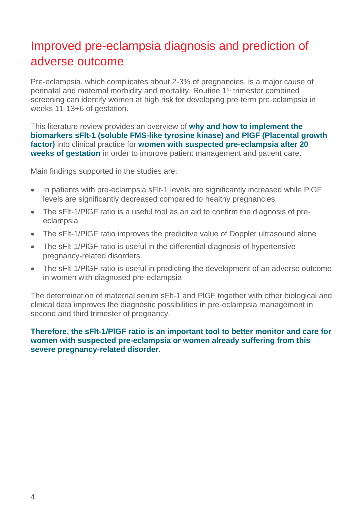# Improved pre-eclampsia diagnosis and prediction of adverse outcome

Pre-eclampsia, which complicates about 2-3% of pregnancies, is a major cause of perinatal and maternal morbidity and mortality. Routine 1st trimester combined screening can identify women at high risk for developing pre-term pre-eclampsia in weeks 11-13+6 of gestation.

This literature review provides an overview of **why and how to implement the biomarkers sFlt-1 (soluble FMS-like tyrosine kinase) and PlGF (Placental growth factor)** into clinical practice for **women with suspected pre-eclampsia after 20 weeks of gestation** in order to improve patient management and patient care.

Main findings supported in the studies are:

- In patients with pre-eclampsia sFIt-1 levels are significantly increased while PIGF levels are significantly decreased compared to healthy pregnancies
- The sFlt-1/PlGF ratio is a useful tool as an aid to confirm the diagnosis of preeclampsia
- The sFlt-1/PIGF ratio improves the predictive value of Doppler ultrasound alone
- The sFlt-1/PlGF ratio is useful in the differential diagnosis of hypertensive pregnancy-related disorders
- The sFlt-1/PlGF ratio is useful in predicting the development of an adverse outcome in women with diagnosed pre-eclampsia

The determination of maternal serum sFlt-1 and PlGF together with other biological and clinical data improves the diagnostic possibilities in pre-eclampsia management in second and third trimester of pregnancy.

#### **Therefore, the sFlt-1/PlGF ratio is an important tool to better monitor and care for women with suspected pre-eclampsia or women already suffering from this severe pregnancy-related disorder.**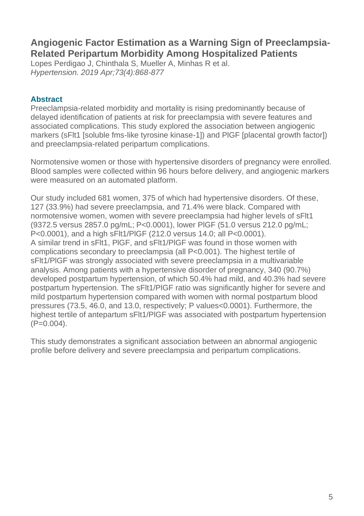## **Angiogenic Factor Estimation as a Warning Sign of Preeclampsia-Related Peripartum Morbidity Among Hospitalized Patients**

Lopes Perdigao J, Chinthala S, Mueller A, Minhas R et al. *Hypertension. 2019 Apr;73(4):868-877*

#### **Abstract**

Preeclampsia-related morbidity and mortality is rising predominantly because of delayed identification of patients at risk for preeclampsia with severe features and associated complications. This study explored the association between angiogenic markers (sFlt1 [soluble fms-like tyrosine kinase-1]) and PlGF [placental growth factor]) and preeclampsia-related peripartum complications.

Normotensive women or those with hypertensive disorders of pregnancy were enrolled. Blood samples were collected within 96 hours before delivery, and angiogenic markers were measured on an automated platform.

Our study included 681 women, 375 of which had hypertensive disorders. Of these, 127 (33.9%) had severe preeclampsia, and 71.4% were black. Compared with normotensive women, women with severe preeclampsia had higher levels of sFlt1 (9372.5 versus 2857.0 pg/mL; P<0.0001), lower PlGF (51.0 versus 212.0 pg/mL; P<0.0001), and a high sFlt1/PlGF (212.0 versus 14.0; all P<0.0001). A similar trend in sFlt1, PlGF, and sFlt1/PlGF was found in those women with complications secondary to preeclampsia (all P<0.001). The highest tertile of sFlt1/PlGF was strongly associated with severe preeclampsia in a multivariable analysis. Among patients with a hypertensive disorder of pregnancy, 340 (90.7%) developed postpartum hypertension, of which 50.4% had mild, and 40.3% had severe postpartum hypertension. The sFlt1/PlGF ratio was significantly higher for severe and mild postpartum hypertension compared with women with normal postpartum blood pressures (73.5, 46.0, and 13.0, respectively; P values<0.0001). Furthermore, the highest tertile of antepartum sFlt1/PlGF was associated with postpartum hypertension  $(P=0.004)$ .

This study demonstrates a significant association between an abnormal angiogenic profile before delivery and severe preeclampsia and peripartum complications.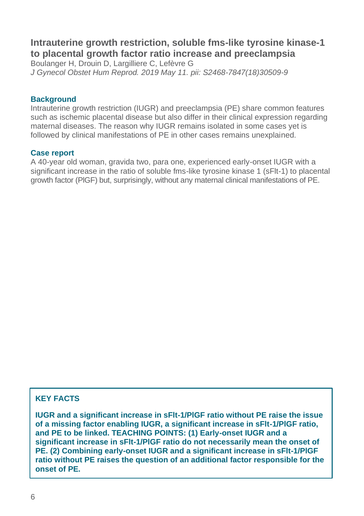## **Intrauterine growth restriction, soluble fms-like tyrosine kinase-1 to placental growth factor ratio increase and preeclampsia**

Boulanger H, Drouin D, Largilliere C, Lefèvre G *J Gynecol Obstet Hum Reprod. 2019 May 11. pii: S2468-7847(18)30509-9*

#### **Background**

Intrauterine growth restriction (IUGR) and preeclampsia (PE) share common features such as ischemic placental disease but also differ in their clinical expression regarding maternal diseases. The reason why IUGR remains isolated in some cases yet is followed by clinical manifestations of PE in other cases remains unexplained.

#### **Case report**

A 40-year old woman, gravida two, para one, experienced early-onset IUGR with a significant increase in the ratio of soluble fms-like tyrosine kinase 1 (sFlt-1) to placental growth factor (PlGF) but, surprisingly, without any maternal clinical manifestations of PE.

#### **KEY FACTS**

**IUGR and a significant increase in sFlt-1/PlGF ratio without PE raise the issue of a missing factor enabling IUGR, a significant increase in sFlt-1/PlGF ratio, and PE to be linked. TEACHING POINTS: (1) Early-onset IUGR and a significant increase in sFlt-1/PlGF ratio do not necessarily mean the onset of PE. (2) Combining early-onset IUGR and a significant increase in sFlt-1/PlGF ratio without PE raises the question of an additional factor responsible for the onset of PE.**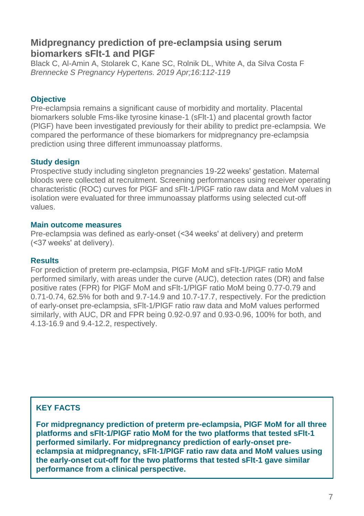## **Midpregnancy prediction of pre-eclampsia using serum biomarkers sFlt-1 and PlGF**

Black C, Al-Amin A, Stolarek C, Kane SC, Rolnik DL, White A, da Silva Costa F *Brennecke S Pregnancy Hypertens. 2019 Apr;16:112-119*

#### **Objective**

Pre-eclampsia remains a significant cause of morbidity and mortality. Placental biomarkers soluble Fms-like tyrosine kinase-1 (sFlt-1) and placental growth factor (PlGF) have been investigated previously for their ability to predict pre-eclampsia. We compared the performance of these biomarkers for midpregnancy pre-eclampsia prediction using three different immunoassay platforms.

#### **Study design**

Prospective study including singleton pregnancies 19-22 weeks' gestation. Maternal bloods were collected at recruitment. Screening performances using receiver operating characteristic (ROC) curves for PlGF and sFlt-1/PlGF ratio raw data and MoM values in isolation were evaluated for three immunoassay platforms using selected cut-off values.

#### **Main outcome measures**

Pre-eclampsia was defined as early-onset (<34 weeks' at delivery) and preterm (<37 weeks' at delivery).

#### **Results**

For prediction of preterm pre-eclampsia, PlGF MoM and sFlt-1/PlGF ratio MoM performed similarly, with areas under the curve (AUC), detection rates (DR) and false positive rates (FPR) for PlGF MoM and sFlt-1/PlGF ratio MoM being 0.77-0.79 and 0.71-0.74, 62.5% for both and 9.7-14.9 and 10.7-17.7, respectively. For the prediction of early-onset pre-eclampsia, sFlt-1/PlGF ratio raw data and MoM values performed similarly, with AUC, DR and FPR being 0.92-0.97 and 0.93-0.96, 100% for both, and 4.13-16.9 and 9.4-12.2, respectively.

#### **KEY FACTS**

**For midpregnancy prediction of preterm pre-eclampsia, PlGF MoM for all three platforms and sFlt-1/PlGF ratio MoM for the two platforms that tested sFlt-1 performed similarly. For midpregnancy prediction of early-onset preeclampsia at midpregnancy, sFlt-1/PlGF ratio raw data and MoM values using the early-onset cut-off for the two platforms that tested sFlt-1 gave similar performance from a clinical perspective.**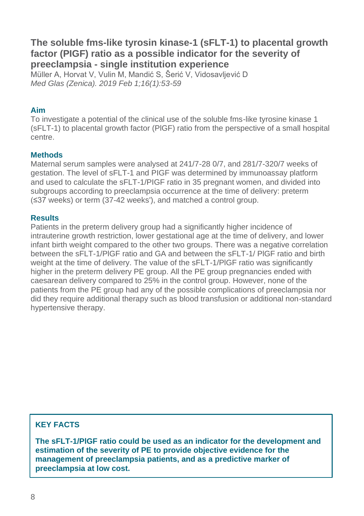## **The soluble fms-like tyrosin kinase-1 (sFLT-1) to placental growth factor (PIGF) ratio as a possible indicator for the severity of preeclampsia - single institution experience**

Müller A, Horvat V, Vulin M, Mandić S, Šerić V, Vidosavljević D *Med Glas (Zenica). 2019 Feb 1;16(1):53-59*

#### **Aim**

To investigate a potential of the clinical use of the soluble fms-like tyrosine kinase 1 (sFLT-1) to placental growth factor (PlGF) ratio from the perspective of a small hospital centre.

#### **Methods**

Maternal serum samples were analysed at 241/7-28 0/7, and 281/7-320/7 weeks of gestation. The level of sFLT-1 and PIGF was determined by immunoassay platform and used to calculate the sFLT-1/PIGF ratio in 35 pregnant women, and divided into subgroups according to preeclampsia occurrence at the time of delivery: preterm (≤37 weeks) or term (37-42 weeks'), and matched a control group.

#### **Results**

Patients in the preterm delivery group had a significantly higher incidence of intrauterine growth restriction, lower gestational age at the time of delivery, and lower infant birth weight compared to the other two groups. There was a negative correlation between the sFLT-1/PlGF ratio and GA and between the sFLT-1/ PlGF ratio and birth weight at the time of delivery. The value of the sFLT-1/PlGF ratio was significantly higher in the preterm delivery PE group. All the PE group pregnancies ended with caesarean delivery compared to 25% in the control group. However, none of the patients from the PE group had any of the possible complications of preeclampsia nor did they require additional therapy such as blood transfusion or additional non-standard hypertensive therapy.

#### **KEY FACTS**

**The sFLT-1/PlGF ratio could be used as an indicator for the development and estimation of the severity of PE to provide objective evidence for the management of preeclampsia patients, and as a predictive marker of preeclampsia at low cost.**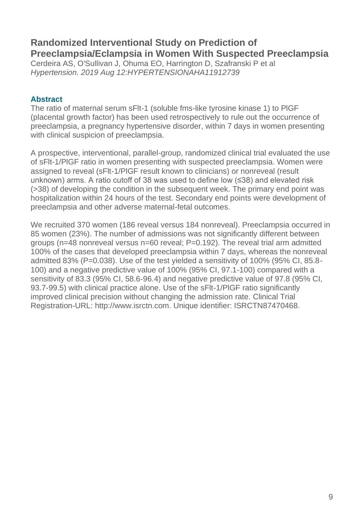## **Randomized Interventional Study on Prediction of Preeclampsia/Eclampsia in Women With Suspected Preeclampsia**

Cerdeira AS, O'Sullivan J, Ohuma EO, Harrington D, Szafranski P et al *Hypertension. 2019 Aug 12:HYPERTENSIONAHA11912739*

#### **Abstract**

The ratio of maternal serum sFlt-1 (soluble fms-like tyrosine kinase 1) to PlGF (placental growth factor) has been used retrospectively to rule out the occurrence of preeclampsia, a pregnancy hypertensive disorder, within 7 days in women presenting with clinical suspicion of preeclampsia.

A prospective, interventional, parallel-group, randomized clinical trial evaluated the use of sFlt-1/PlGF ratio in women presenting with suspected preeclampsia. Women were assigned to reveal (sFlt-1/PlGF result known to clinicians) or nonreveal (result unknown) arms. A ratio cutoff of 38 was used to define low (≤38) and elevated risk (>38) of developing the condition in the subsequent week. The primary end point was hospitalization within 24 hours of the test. Secondary end points were development of preeclampsia and other adverse maternal-fetal outcomes.

We recruited 370 women (186 reveal versus 184 nonreveal). Preeclampsia occurred in 85 women (23%). The number of admissions was not significantly different between groups (n=48 nonreveal versus n=60 reveal; P=0.192). The reveal trial arm admitted 100% of the cases that developed preeclampsia within 7 days, whereas the nonreveal admitted 83% (P=0.038). Use of the test yielded a sensitivity of 100% (95% CI, 85.8- 100) and a negative predictive value of 100% (95% CI, 97.1-100) compared with a sensitivity of 83.3 (95% CI, 58.6-96.4) and negative predictive value of 97.8 (95% CI, 93.7-99.5) with clinical practice alone. Use of the sFlt-1/PlGF ratio significantly improved clinical precision without changing the admission rate. Clinical Trial Registration-URL: http://www.isrctn.com. Unique identifier: ISRCTN87470468.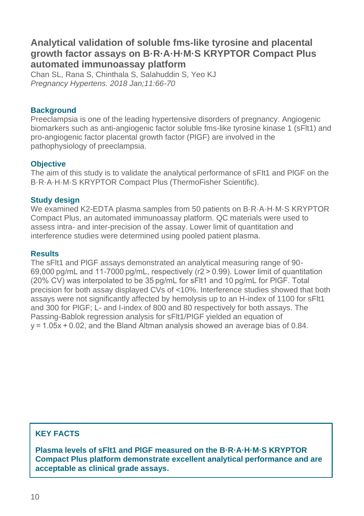## **Analytical validation of soluble fms-like tyrosine and placental growth factor assays on B·R·A·H·M·S KRYPTOR Compact Plus automated immunoassay platform**

Chan SL, Rana S, Chinthala S, Salahuddin S, Yeo KJ *Pregnancy Hypertens. 2018 Jan;11:66-70*

#### **Background**

Preeclampsia is one of the leading hypertensive disorders of pregnancy. Angiogenic biomarkers such as anti-angiogenic factor soluble fms-like tyrosine kinase 1 (sFlt1) and pro-angiogenic factor placental growth factor (PlGF) are involved in the pathophysiology of preeclampsia.

#### **Objective**

The aim of this study is to validate the analytical performance of sFlt1 and PlGF on the B·R·A·H·M·S KRYPTOR Compact Plus (ThermoFisher Scientific).

#### **Study design**

We examined K2-EDTA plasma samples from 50 patients on B·R·A·H·M·S KRYPTOR Compact Plus, an automated immunoassay platform. QC materials were used to assess intra- and inter-precision of the assay. Lower limit of quantitation and interference studies were determined using pooled patient plasma.

#### **Results**

The sFlt1 and PlGF assays demonstrated an analytical measuring range of 90- 69,000 pg/mL and 11-7000 pg/mL, respectively (r2 > 0.99). Lower limit of quantitation (20% CV) was interpolated to be 35 pg/mL for sFlt1 and 10 pg/mL for PlGF. Total precision for both assay displayed CVs of <10%. Interference studies showed that both assays were not significantly affected by hemolysis up to an H-index of 1100 for sFlt1 and 300 for PlGF; L- and I-index of 800 and 80 respectively for both assays. The Passing-Bablok regression analysis for sFlt1/PlGF yielded an equation of y = 1.05x + 0.02, and the Bland Altman analysis showed an average bias of 0.84.

#### **KEY FACTS**

**Plasma levels of sFlt1 and PlGF measured on the B·R·A·H·M·S KRYPTOR Compact Plus platform demonstrate excellent analytical performance and are acceptable as clinical grade assays.**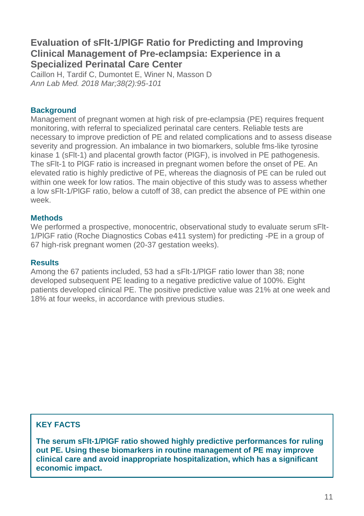## **Evaluation of sFlt-1/PlGF Ratio for Predicting and Improving Clinical Management of Pre-eclampsia: Experience in a Specialized Perinatal Care Center**

Caillon H, Tardif C, Dumontet E, Winer N, Masson D *Ann Lab Med. 2018 Mar;38(2):95-101*

#### **Background**

Management of pregnant women at high risk of pre-eclampsia (PE) requires frequent monitoring, with referral to specialized perinatal care centers. Reliable tests are necessary to improve prediction of PE and related complications and to assess disease severity and progression. An imbalance in two biomarkers, soluble fms-like tyrosine kinase 1 (sFlt-1) and placental growth factor (PlGF), is involved in PE pathogenesis. The sFlt-1 to PlGF ratio is increased in pregnant women before the onset of PE. An elevated ratio is highly predictive of PE, whereas the diagnosis of PE can be ruled out within one week for low ratios. The main objective of this study was to assess whether a low sFlt-1/PlGF ratio, below a cutoff of 38, can predict the absence of PE within one week.

#### **Methods**

We performed a prospective, monocentric, observational study to evaluate serum sFlt-1/PlGF ratio (Roche Diagnostics Cobas e411 system) for predicting -PE in a group of 67 high-risk pregnant women (20-37 gestation weeks).

#### **Results**

Among the 67 patients included, 53 had a sFlt-1/PlGF ratio lower than 38; none developed subsequent PE leading to a negative predictive value of 100%. Eight patients developed clinical PE. The positive predictive value was 21% at one week and 18% at four weeks, in accordance with previous studies.

#### **KEY FACTS**

**The serum sFlt-1/PlGF ratio showed highly predictive performances for ruling out PE. Using these biomarkers in routine management of PE may improve clinical care and avoid inappropriate hospitalization, which has a significant economic impact.**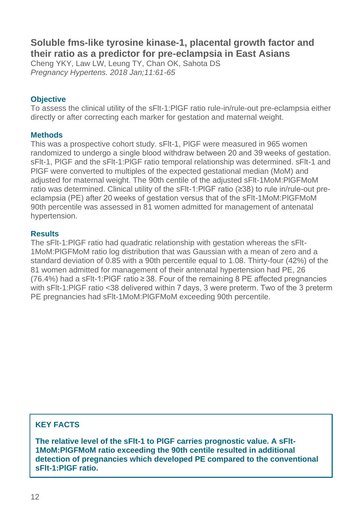## **Soluble fms-like tyrosine kinase-1, placental growth factor and their ratio as a predictor for pre-eclampsia in East Asians**

Cheng YKY, Law LW, Leung TY, Chan OK, Sahota DS *Pregnancy Hypertens. 2018 Jan;11:61-65*

#### **Objective**

To assess the clinical utility of the sFlt-1:PlGF ratio rule-in/rule-out pre-eclampsia either directly or after correcting each marker for gestation and maternal weight.

#### **Methods**

This was a prospective cohort study. sFlt-1, PlGF were measured in 965 women randomized to undergo a single blood withdraw between 20 and 39 weeks of gestation. sFlt-1, PlGF and the sFlt-1:PlGF ratio temporal relationship was determined. sFlt-1 and PlGF were converted to multiples of the expected gestational median (MoM) and adjusted for maternal weight. The 90th centile of the adjusted sFlt-1MoM:PlGFMoM ratio was determined. Clinical utility of the sFlt-1:PlGF ratio (≥38) to rule in/rule-out preeclampsia (PE) after 20 weeks of gestation versus that of the sFlt-1MoM:PlGFMoM 90th percentile was assessed in 81 women admitted for management of antenatal hypertension.

#### **Results**

The sFlt-1:PlGF ratio had quadratic relationship with gestation whereas the sFlt-1MoM:PlGFMoM ratio log distribution that was Gaussian with a mean of zero and a standard deviation of 0.85 with a 90th percentile equal to 1.08. Thirty-four (42%) of the 81 women admitted for management of their antenatal hypertension had PE, 26 (76.4%) had a sFlt-1:PlGF ratio ≥ 38. Four of the remaining 8 PE affected pregnancies with sFlt-1:PlGF ratio <38 delivered within 7 days, 3 were preterm. Two of the 3 preterm PE pregnancies had sFlt-1MoM:PlGFMoM exceeding 90th percentile.

#### **KEY FACTS**

**The relative level of the sFlt-1 to PlGF carries prognostic value. A sFlt-1MoM:PlGFMoM ratio exceeding the 90th centile resulted in additional detection of pregnancies which developed PE compared to the conventional sFlt-1:PlGF ratio.**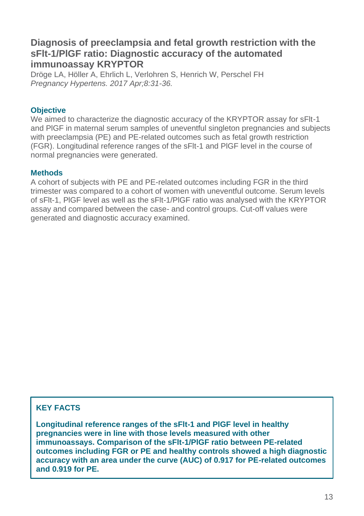## **Diagnosis of preeclampsia and fetal growth restriction with the sFlt-1/PlGF ratio: Diagnostic accuracy of the automated immunoassay KRYPTOR**

Dröge LA, Höller A, Ehrlich L, Verlohren S, Henrich W, Perschel FH *Pregnancy Hypertens. 2017 Apr;8:31-36.*

#### **Objective**

We aimed to characterize the diagnostic accuracy of the KRYPTOR assay for sFlt-1 and PlGF in maternal serum samples of uneventful singleton pregnancies and subjects with preeclampsia (PE) and PE-related outcomes such as fetal growth restriction (FGR). Longitudinal reference ranges of the sFlt-1 and PlGF level in the course of normal pregnancies were generated.

#### **Methods**

A cohort of subjects with PE and PE-related outcomes including FGR in the third trimester was compared to a cohort of women with uneventful outcome. Serum levels of sFlt-1, PlGF level as well as the sFlt-1/PlGF ratio was analysed with the KRYPTOR assay and compared between the case- and control groups. Cut-off values were generated and diagnostic accuracy examined.

#### **KEY FACTS**

**Longitudinal reference ranges of the sFlt-1 and PlGF level in healthy pregnancies were in line with those levels measured with other immunoassays. Comparison of the sFlt-1/PlGF ratio between PE-related outcomes including FGR or PE and healthy controls showed a high diagnostic accuracy with an area under the curve (AUC) of 0.917 for PE-related outcomes and 0.919 for PE.**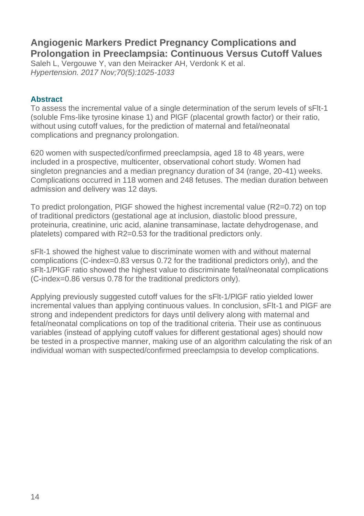## **Angiogenic Markers Predict Pregnancy Complications and Prolongation in Preeclampsia: Continuous Versus Cutoff Values**

Saleh L, Vergouwe Y, van den Meiracker AH, Verdonk K et al. *Hypertension. 2017 Nov;70(5):1025-1033*

#### **Abstract**

To assess the incremental value of a single determination of the serum levels of sFlt-1 (soluble Fms-like tyrosine kinase 1) and PlGF (placental growth factor) or their ratio, without using cutoff values, for the prediction of maternal and fetal/neonatal complications and pregnancy prolongation.

620 women with suspected/confirmed preeclampsia, aged 18 to 48 years, were included in a prospective, multicenter, observational cohort study. Women had singleton pregnancies and a median pregnancy duration of 34 (range, 20-41) weeks. Complications occurred in 118 women and 248 fetuses. The median duration between admission and delivery was 12 days.

To predict prolongation, PlGF showed the highest incremental value (R2=0.72) on top of traditional predictors (gestational age at inclusion, diastolic blood pressure, proteinuria, creatinine, uric acid, alanine transaminase, lactate dehydrogenase, and platelets) compared with R2=0.53 for the traditional predictors only.

sFlt-1 showed the highest value to discriminate women with and without maternal complications (C-index=0.83 versus 0.72 for the traditional predictors only), and the sFlt-1/PlGF ratio showed the highest value to discriminate fetal/neonatal complications (C-index=0.86 versus 0.78 for the traditional predictors only).

Applying previously suggested cutoff values for the sFlt-1/PlGF ratio yielded lower incremental values than applying continuous values. In conclusion, sFlt-1 and PlGF are strong and independent predictors for days until delivery along with maternal and fetal/neonatal complications on top of the traditional criteria. Their use as continuous variables (instead of applying cutoff values for different gestational ages) should now be tested in a prospective manner, making use of an algorithm calculating the risk of an individual woman with suspected/confirmed preeclampsia to develop complications.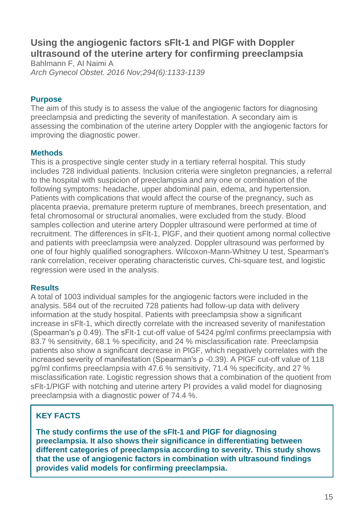## **Using the angiogenic factors sFlt-1 and PlGF with Doppler ultrasound of the uterine artery for confirming preeclampsia**

Bahlmann F, Al Naimi A *Arch Gynecol Obstet. 2016 Nov;294(6):1133-1139*

#### **Purpose**

The aim of this study is to assess the value of the angiogenic factors for diagnosing preeclampsia and predicting the severity of manifestation. A secondary aim is assessing the combination of the uterine artery Doppler with the angiogenic factors for improving the diagnostic power.

#### **Methods**

This is a prospective single center study in a tertiary referral hospital. This study includes 728 individual patients. Inclusion criteria were singleton pregnancies, a referral to the hospital with suspicion of preeclampsia and any one or combination of the following symptoms: headache, upper abdominal pain, edema, and hypertension. Patients with complications that would affect the course of the pregnancy, such as placenta praevia, premature preterm rupture of membranes, breech presentation, and fetal chromosomal or structural anomalies, were excluded from the study. Blood samples collection and uterine artery Doppler ultrasound were performed at time of recruitment. The differences in sFlt-1, PlGF, and their quotient among normal collective and patients with preeclampsia were analyzed. Doppler ultrasound was performed by one of four highly qualified sonographers. Wilcoxon-Mann-Whitney U test, Spearman's rank correlation, receiver operating characteristic curves, Chi-square test, and logistic regression were used in the analysis.

#### **Results**

A total of 1003 individual samples for the angiogenic factors were included in the analysis. 584 out of the recruited 728 patients had follow-up data with delivery information at the study hospital. Patients with preeclampsia show a significant increase in sFlt-1, which directly correlate with the increased severity of manifestation (Spearman's ρ 0.49). The sFlt-1 cut-off value of 5424 pg/ml confirms preeclampsia with 83.7 % sensitivity, 68.1 % specificity, and 24 % misclassification rate. Preeclampsia patients also show a significant decrease in PlGF, which negatively correlates with the increased severity of manifestation (Spearman's ρ -0.39). A PlGF cut-off value of 118 pg/ml confirms preeclampsia with 47.6 % sensitivity, 71.4 % specificity, and 27 % misclassification rate. Logistic regression shows that a combination of the quotient from sFlt-1/PlGF with notching and uterine artery PI provides a valid model for diagnosing preeclampsia with a diagnostic power of 74.4 %.

## **KEY FACTS**

**The study confirms the use of the sFlt-1 and PlGF for diagnosing preeclampsia. It also shows their significance in differentiating between different categories of preeclampsia according to severity. This study shows that the use of angiogenic factors in combination with ultrasound findings provides valid models for confirming preeclampsia.**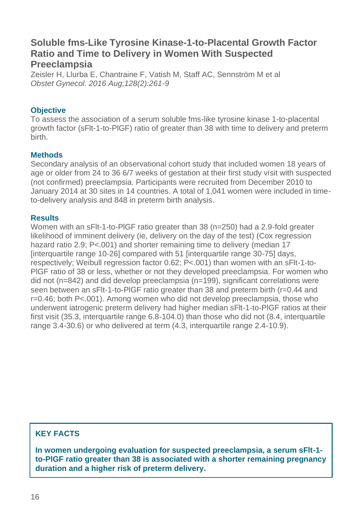## **Soluble fms-Like Tyrosine Kinase-1-to-Placental Growth Factor Ratio and Time to Delivery in Women With Suspected Preeclampsia**

Zeisler H, Llurba E, Chantraine F, Vatish M, Staff AC, Sennström M et al *Obstet Gynecol. 2016 Aug;128(2):261-9*

#### **Objective**

To assess the association of a serum soluble fms-like tyrosine kinase 1-to-placental growth factor (sFlt-1-to-PlGF) ratio of greater than 38 with time to delivery and preterm **b**irth.

#### **Methods**

Secondary analysis of an observational cohort study that included women 18 years of age or older from 24 to 36 6/7 weeks of gestation at their first study visit with suspected (not confirmed) preeclampsia. Participants were recruited from December 2010 to January 2014 at 30 sites in 14 countries. A total of 1,041 women were included in timeto-delivery analysis and 848 in preterm birth analysis.

#### **Results**

Women with an sFlt-1-to-PlGF ratio greater than 38 (n=250) had a 2.9-fold greater likelihood of imminent delivery (ie, delivery on the day of the test) (Cox regression hazard ratio 2.9; P<.001) and shorter remaining time to delivery (median 17 [interquartile range 10-26] compared with 51 [interquartile range 30-75] days, respectively; Weibull regression factor 0.62; P<.001) than women with an sFlt-1-to-PlGF ratio of 38 or less, whether or not they developed preeclampsia. For women who did not (n=842) and did develop preeclampsia (n=199), significant correlations were seen between an sFlt-1-to-PlGF ratio greater than 38 and preterm birth (r=0.44 and r=0.46; both P<.001). Among women who did not develop preeclampsia, those who underwent iatrogenic preterm delivery had higher median sFlt-1-to-PlGF ratios at their first visit (35.3, interquartile range 6.8-104.0) than those who did not (8.4, interquartile range 3.4-30.6) or who delivered at term (4.3, interquartile range 2.4-10.9).

## **KEY FACTS**

**In women undergoing evaluation for suspected preeclampsia, a serum sFlt-1 to-PlGF ratio greater than 38 is associated with a shorter remaining pregnancy duration and a higher risk of preterm delivery.**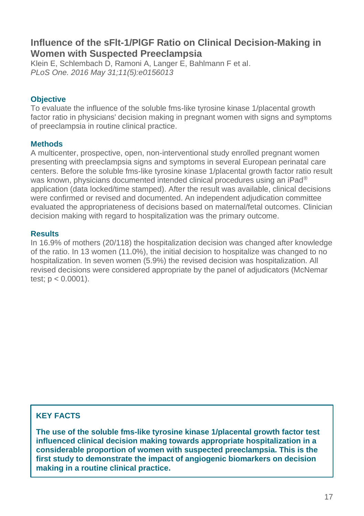## **Influence of the sFlt-1/PlGF Ratio on Clinical Decision-Making in Women with Suspected Preeclampsia**

Klein E, Schlembach D, Ramoni A, Langer E, Bahlmann F et al. *PLoS One. 2016 May 31;11(5):e0156013*

#### **Objective**

To evaluate the influence of the soluble fms-like tyrosine kinase 1/placental growth factor ratio in physicians' decision making in pregnant women with signs and symptoms of preeclampsia in routine clinical practice.

#### **Methods**

A multicenter, prospective, open, non-interventional study enrolled pregnant women presenting with preeclampsia signs and symptoms in several European perinatal care centers. Before the soluble fms-like tyrosine kinase 1/placental growth factor ratio result was known, physicians documented intended clinical procedures using an iPad<sup>®</sup> application (data locked/time stamped). After the result was available, clinical decisions were confirmed or revised and documented. An independent adjudication committee evaluated the appropriateness of decisions based on maternal/fetal outcomes. Clinician decision making with regard to hospitalization was the primary outcome.

#### **Results**

In 16.9% of mothers (20/118) the hospitalization decision was changed after knowledge of the ratio. In 13 women (11.0%), the initial decision to hospitalize was changed to no hospitalization. In seven women (5.9%) the revised decision was hospitalization. All revised decisions were considered appropriate by the panel of adjudicators (McNemar test;  $p < 0.0001$ ).

#### **KEY FACTS**

**The use of the soluble fms-like tyrosine kinase 1/placental growth factor test influenced clinical decision making towards appropriate hospitalization in a considerable proportion of women with suspected preeclampsia. This is the first study to demonstrate the impact of angiogenic biomarkers on decision making in a routine clinical practice.**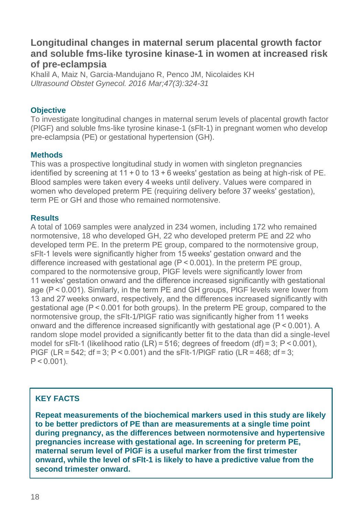## **Longitudinal changes in maternal serum placental growth factor and soluble fms-like tyrosine kinase-1 in women at increased risk of pre-eclampsia**

Khalil A, Maiz N, Garcia-Mandujano R, Penco JM, Nicolaides KH *Ultrasound Obstet Gynecol. 2016 Mar;47(3):324-31*

#### **Objective**

To investigate longitudinal changes in maternal serum levels of placental growth factor (PlGF) and soluble fms-like tyrosine kinase-1 (sFlt-1) in pregnant women who develop pre-eclampsia (PE) or gestational hypertension (GH).

#### **Methods**

This was a prospective longitudinal study in women with singleton pregnancies identified by screening at  $11 + 0$  to  $13 + 6$  weeks' gestation as being at high-risk of PE. Blood samples were taken every 4 weeks until delivery. Values were compared in women who developed preterm PE (requiring delivery before 37 weeks' gestation), term PE or GH and those who remained normotensive.

#### **Results**

A total of 1069 samples were analyzed in 234 women, including 172 who remained normotensive, 18 who developed GH, 22 who developed preterm PE and 22 who developed term PE. In the preterm PE group, compared to the normotensive group, sFlt-1 levels were significantly higher from 15 weeks' gestation onward and the difference increased with gestational age  $(P < 0.001)$ . In the preterm PE group, compared to the normotensive group, PlGF levels were significantly lower from 11 weeks' gestation onward and the difference increased significantly with gestational age (P < 0.001). Similarly, in the term PE and GH groups, PlGF levels were lower from 13 and 27 weeks onward, respectively, and the differences increased significantly with gestational age (P < 0.001 for both groups). In the preterm PE group, compared to the normotensive group, the sFlt-1/PlGF ratio was significantly higher from 11 weeks onward and the difference increased significantly with gestational age (P < 0.001). A random slope model provided a significantly better fit to the data than did a single-level model for sFlt-1 (likelihood ratio (LR) =  $516$ ; degrees of freedom (df) = 3; P < 0.001), PIGF (LR = 542;  $df = 3$ ; P < 0.001) and the sFIt-1/PIGF ratio (LR = 468;  $df = 3$ ;  $P < 0.001$ ).

#### **KEY FACTS**

**Repeat measurements of the biochemical markers used in this study are likely to be better predictors of PE than are measurements at a single time point during pregnancy, as the differences between normotensive and hypertensive pregnancies increase with gestational age. In screening for preterm PE, maternal serum level of PlGF is a useful marker from the first trimester onward, while the level of sFlt-1 is likely to have a predictive value from the second trimester onward.**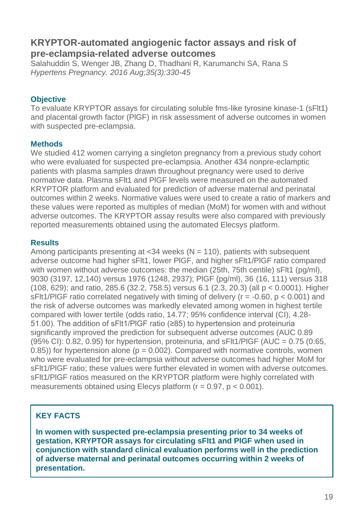## **KRYPTOR-automated angiogenic factor assays and risk of pre-eclampsia-related adverse outcomes**

Salahuddin S, Wenger JB, Zhang D, Thadhani R, Karumanchi SA, Rana S *[Hypertens Pregnancy.](https://www.ncbi.nlm.nih.gov/pubmed/?term=salahuddin+kryptor) 2016 Aug;35(3):330-45*

#### **Objective**

To evaluate KRYPTOR assays for circulating soluble fms-like tyrosine kinase-1 (sFlt1) and placental growth factor (PlGF) in risk assessment of adverse outcomes in women with suspected pre-eclampsia.

#### **Methods**

We studied 412 women carrying a singleton pregnancy from a previous study cohort who were evaluated for suspected pre-eclampsia. Another 434 nonpre-eclamptic patients with plasma samples drawn throughout pregnancy were used to derive normative data. Plasma sFlt1 and PlGF levels were measured on the automated KRYPTOR platform and evaluated for prediction of adverse maternal and perinatal outcomes within 2 weeks. Normative values were used to create a ratio of markers and these values were reported as multiples of median (MoM) for women with and without adverse outcomes. The KRYPTOR assay results were also compared with previously reported measurements obtained using the automated Elecsys platform.

#### **Results**

Among participants presenting at  $<34$  weeks ( $N = 110$ ), patients with subsequent adverse outcome had higher sFlt1, lower PlGF, and higher sFlt1/PlGF ratio compared with women without adverse outcomes: the median (25th, 75th centile) sFlt1 (pg/ml), 9030 (3197, 12,140) versus 1976 (1248, 2937); PlGF (pg/ml), 36 (16, 111) versus 318 (108, 629); and ratio, 285.6 (32.2, 758.5) versus 6.1 (2.3, 20.3) (all p < 0.0001). Higher sFlt1/PIGF ratio correlated negatively with timing of delivery ( $r = -0.60$ ,  $p < 0.001$ ) and the risk of adverse outcomes was markedly elevated among women in highest tertile compared with lower tertile (odds ratio, 14.77; 95% confidence interval (CI), 4.28- 51.00). The addition of sFlt1/PlGF ratio (≥85) to hypertension and proteinuria significantly improved the prediction for subsequent adverse outcomes (AUC 0.89  $(95\% \text{ Cl})$ : 0.82, 0.95) for hypertension, proteinuria, and sFlt1/PIGF (AUC = 0.75 (0.65,  $(0.85)$ ) for hypertension alone ( $p = 0.002$ ). Compared with normative controls, women who were evaluated for pre-eclampsia without adverse outcomes had higher MoM for sFlt1/PlGF ratio; these values were further elevated in women with adverse outcomes. sFlt1/PlGF ratios measured on the KRYPTOR platform were highly correlated with measurements obtained using Elecys platform  $(r = 0.97, p < 0.001)$ .

## **KEY FACTS**

**In women with suspected pre-eclampsia presenting prior to 34 weeks of gestation, KRYPTOR assays for circulating sFlt1 and PlGF when used in conjunction with standard clinical evaluation performs well in the prediction of adverse maternal and perinatal outcomes occurring within 2 weeks of presentation.**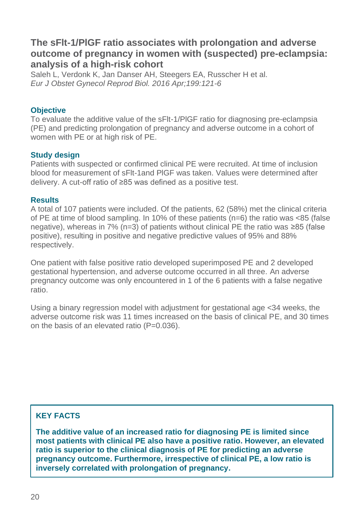## **The sFlt-1/PlGF ratio associates with prolongation and adverse outcome of pregnancy in women with (suspected) pre-eclampsia: analysis of a high-risk cohort**

Saleh L, Verdonk K, Jan Danser AH, Steegers EA, Russcher H et al. *Eur J Obstet Gynecol Reprod Biol. 2016 Apr;199:121-6*

#### **Objective**

To evaluate the additive value of the sFlt-1/PlGF ratio for diagnosing pre-eclampsia (PE) and predicting prolongation of pregnancy and adverse outcome in a cohort of women with PE or at high risk of PE.

#### **Study design**

Patients with suspected or confirmed clinical PE were recruited. At time of inclusion blood for measurement of sFlt-1and PlGF was taken. Values were determined after delivery. A cut-off ratio of ≥85 was defined as a positive test.

#### **Results**

A total of 107 patients were included. Of the patients, 62 (58%) met the clinical criteria of PE at time of blood sampling. In 10% of these patients (n=6) the ratio was <85 (false negative), whereas in 7% (n=3) of patients without clinical PE the ratio was ≥85 (false positive), resulting in positive and negative predictive values of 95% and 88% respectively.

One patient with false positive ratio developed superimposed PE and 2 developed gestational hypertension, and adverse outcome occurred in all three. An adverse pregnancy outcome was only encountered in 1 of the 6 patients with a false negative ratio.

Using a binary regression model with adjustment for gestational age <34 weeks, the adverse outcome risk was 11 times increased on the basis of clinical PE, and 30 times on the basis of an elevated ratio (P=0.036).

#### **KEY FACTS**

**The additive value of an increased ratio for diagnosing PE is limited since most patients with clinical PE also have a positive ratio. However, an elevated ratio is superior to the clinical diagnosis of PE for predicting an adverse pregnancy outcome. Furthermore, irrespective of clinical PE, a low ratio is inversely correlated with prolongation of pregnancy.**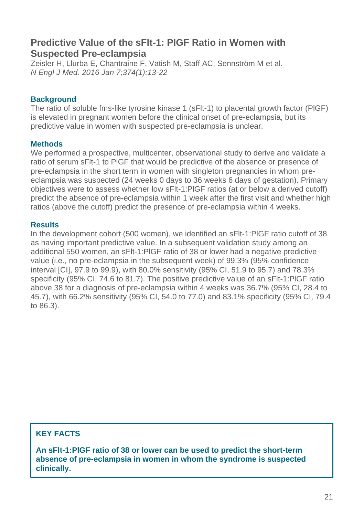## **Predictive Value of the sFlt-1: PlGF Ratio in Women with Suspected Pre-eclampsia**

[Zeisler H,](https://www.ncbi.nlm.nih.gov/pubmed/?term=Zeisler%20H%5BAuthor%5D&cauthor=true&cauthor_uid=26735990) [Llurba](https://www.ncbi.nlm.nih.gov/pubmed/?term=Llurba%20E%5BAuthor%5D&cauthor=true&cauthor_uid=26735990) E, [Chantraine F,](https://www.ncbi.nlm.nih.gov/pubmed/?term=Chantraine%20F%5BAuthor%5D&cauthor=true&cauthor_uid=26735990) [Vatish M,](https://www.ncbi.nlm.nih.gov/pubmed/?term=Vatish%20M%5BAuthor%5D&cauthor=true&cauthor_uid=26735990) [Staff AC,](https://www.ncbi.nlm.nih.gov/pubmed/?term=Staff%20AC%5BAuthor%5D&cauthor=true&cauthor_uid=26735990) [Sennström M](https://www.ncbi.nlm.nih.gov/pubmed/?term=Sennstr%C3%B6m%20M%5BAuthor%5D&cauthor=true&cauthor_uid=26735990) et al. *[N Engl J Med.](https://www.ncbi.nlm.nih.gov/pubmed/26735990) 2016 Jan 7;374(1):13-22*

#### **Background**

The ratio of soluble fms-like tyrosine kinase 1 (sFlt-1) to placental growth factor (PlGF) is elevated in pregnant women before the clinical onset of pre-eclampsia, but its predictive value in women with suspected pre-eclampsia is unclear.

#### **Methods**

We performed a prospective, multicenter, observational study to derive and validate a ratio of serum sFlt-1 to PlGF that would be predictive of the absence or presence of pre-eclampsia in the short term in women with singleton pregnancies in whom preeclampsia was suspected (24 weeks 0 days to 36 weeks 6 days of gestation). Primary objectives were to assess whether low sFlt-1:PlGF ratios (at or below a derived cutoff) predict the absence of pre-eclampsia within 1 week after the first visit and whether high ratios (above the cutoff) predict the presence of pre-eclampsia within 4 weeks.

#### **Results**

In the development cohort (500 women), we identified an sFlt-1:PlGF ratio cutoff of 38 as having important predictive value. In a subsequent validation study among an additional 550 women, an sFlt-1:PlGF ratio of 38 or lower had a negative predictive value (i.e., no pre-eclampsia in the subsequent week) of 99.3% (95% confidence interval [CI], 97.9 to 99.9), with 80.0% sensitivity (95% CI, 51.9 to 95.7) and 78.3% specificity (95% CI, 74.6 to 81.7). The positive predictive value of an sFlt-1:PlGF ratio above 38 for a diagnosis of pre-eclampsia within 4 weeks was 36.7% (95% CI, 28.4 to 45.7), with 66.2% sensitivity (95% CI, 54.0 to 77.0) and 83.1% specificity (95% CI, 79.4 to 86.3).

## **KEY FACTS**

**An sFlt-1:PlGF ratio of 38 or lower can be used to predict the short-term absence of pre-eclampsia in women in whom the syndrome is suspected clinically.**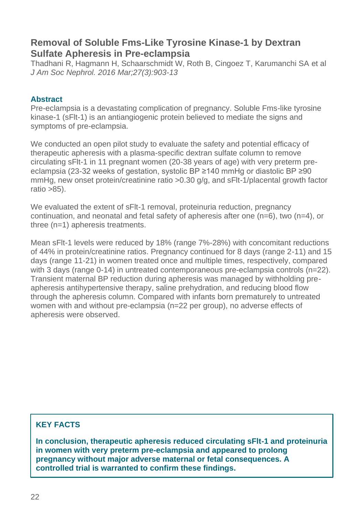## **Removal of Soluble Fms-Like Tyrosine Kinase-1 by Dextran Sulfate Apheresis in Pre-eclampsia**

Thadhani R, Hagmann H, Schaarschmidt W, Roth B, Cingoez T, Karumanchi SA et al *[J Am Soc Nephrol.](https://www.ncbi.nlm.nih.gov/pubmed/26405111) 2016 Mar;27(3):903-13*

#### **Abstract**

Pre-eclampsia is a devastating complication of pregnancy. Soluble Fms-like tyrosine kinase-1 (sFlt-1) is an antiangiogenic protein believed to mediate the signs and symptoms of pre-eclampsia.

We conducted an open pilot study to evaluate the safety and potential efficacy of therapeutic apheresis with a plasma-specific dextran sulfate column to remove circulating sFlt-1 in 11 pregnant women (20-38 years of age) with very preterm preeclampsia (23-32 weeks of gestation, systolic BP ≥140 mmHg or diastolic BP ≥90 mmHg, new onset protein/creatinine ratio >0.30 g/g, and sFlt-1/placental growth factor ratio  $>85$ ).

We evaluated the extent of sFlt-1 removal, proteinuria reduction, pregnancy continuation, and neonatal and fetal safety of apheresis after one  $(n=6)$ , two  $(n=4)$ , or three (n=1) apheresis treatments.

Mean sFlt-1 levels were reduced by 18% (range 7%-28%) with concomitant reductions of 44% in protein/creatinine ratios. Pregnancy continued for 8 days (range 2-11) and 15 days (range 11-21) in women treated once and multiple times, respectively, compared with 3 days (range 0-14) in untreated contemporaneous pre-eclampsia controls (n=22). Transient maternal BP reduction during apheresis was managed by withholding preapheresis antihypertensive therapy, saline prehydration, and reducing blood flow through the apheresis column. Compared with infants born prematurely to untreated women with and without pre-eclampsia (n=22 per group), no adverse effects of apheresis were observed.

#### **KEY FACTS**

**In conclusion, therapeutic apheresis reduced circulating sFlt-1 and proteinuria in women with very preterm pre-eclampsia and appeared to prolong pregnancy without major adverse maternal or fetal consequences. A controlled trial is warranted to confirm these findings.**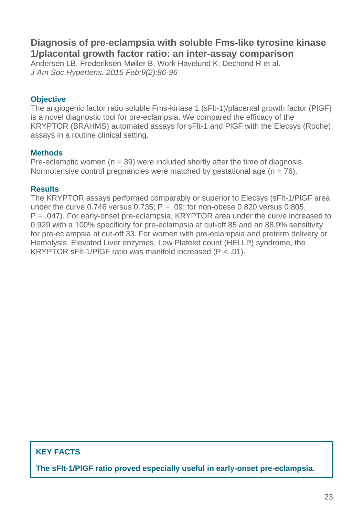## **Diagnosis of pre-eclampsia with soluble Fms-like tyrosine kinase 1/placental growth factor ratio: an inter-assay comparison**

Andersen LB, Frederiksen-Møller B, Work Havelund K, Dechend R et al. *[J Am Soc Hypertens.](https://www.ncbi.nlm.nih.gov/pubmed/25600419) 2015 Feb;9(2):86-96*

#### **Objective**

The angiogenic factor ratio soluble Fms-kinase 1 (sFlt-1)/placental growth factor (PlGF) is a novel diagnostic tool for pre-eclampsia. We compared the efficacy of the KRYPTOR (BRAHMS) automated assays for sFlt-1 and PlGF with the Elecsys (Roche) assays in a routine clinical setting.

#### **Methods**

Pre-eclamptic women  $(n = 39)$  were included shortly after the time of diagnosis. Normotensive control pregnancies were matched by gestational age  $(n = 76)$ .

#### **Results**

The KRYPTOR assays performed comparably or superior to Elecsys (sFlt-1/PlGF area under the curve  $0.746$  versus  $0.735$ ; P = .09; for non-obese  $0.820$  versus  $0.805$ . P = .047). For early-onset pre-eclampsia, KRYPTOR area under the curve increased to 0.929 with a 100% specificity for pre-eclampsia at cut-off 85 and an 88.9% sensitivity for pre-eclampsia at cut-off 33. For women with pre-eclampsia and preterm delivery or Hemolysis, Elevated Liver enzymes, Low Platelet count (HELLP) syndrome, the KRYPTOR sFlt-1/PlGF ratio was manifold increased (P < .01).

#### **KEY FACTS**

**The sFlt-1/PlGF ratio proved especially useful in early-onset pre-eclampsia.**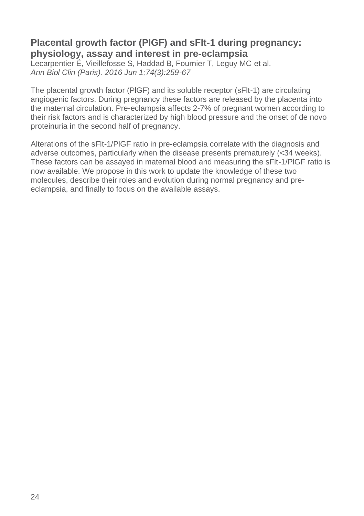## **Placental growth factor (PlGF) and sFlt-1 during pregnancy: physiology, assay and interest in pre-eclampsia**

Lecarpentier É, Vieillefosse S, Haddad B, Fournier T, Leguy MC et al. *Ann Biol Clin (Paris). 2016 Jun 1;74(3):259-67*

The placental growth factor (PlGF) and its soluble receptor (sFlt-1) are circulating angiogenic factors. During pregnancy these factors are released by the placenta into the maternal circulation. Pre-eclampsia affects 2-7% of pregnant women according to their risk factors and is characterized by high blood pressure and the onset of de novo proteinuria in the second half of pregnancy.

Alterations of the sFlt-1/PlGF ratio in pre-eclampsia correlate with the diagnosis and adverse outcomes, particularly when the disease presents prematurely (<34 weeks). These factors can be assayed in maternal blood and measuring the sFlt-1/PlGF ratio is now available. We propose in this work to update the knowledge of these two molecules, describe their roles and evolution during normal pregnancy and preeclampsia, and finally to focus on the available assays.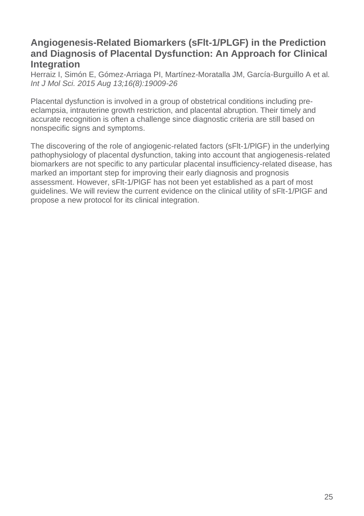## **Angiogenesis-Related Biomarkers (sFlt-1/PLGF) in the Prediction and Diagnosis of Placental Dysfunction: An Approach for Clinical Integration**

Herraiz I, Simón E, Gómez-Arriaga PI, Martínez-Moratalla JM, García-Burguillo A et al*. [Int J Mol Sci.](https://www.ncbi.nlm.nih.gov/pubmed/26287164) 2015 Aug 13;16(8):19009-26*

Placental dysfunction is involved in a group of obstetrical conditions including preeclampsia, intrauterine growth restriction, and placental abruption. Their timely and accurate recognition is often a challenge since diagnostic criteria are still based on nonspecific signs and symptoms.

The discovering of the role of angiogenic-related factors (sFlt-1/PlGF) in the underlying pathophysiology of placental dysfunction, taking into account that angiogenesis-related biomarkers are not specific to any particular placental insufficiency-related disease, has marked an important step for improving their early diagnosis and prognosis assessment. However, sFlt-1/PlGF has not been yet established as a part of most guidelines. We will review the current evidence on the clinical utility of sFlt-1/PlGF and propose a new protocol for its clinical integration.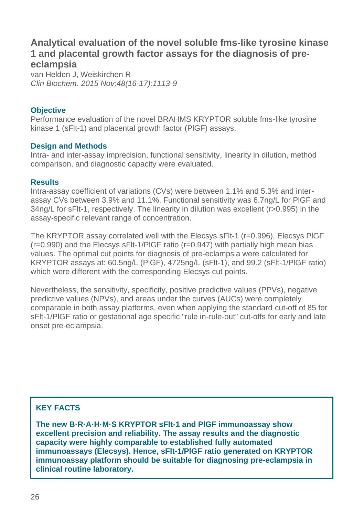## **Analytical evaluation of the novel soluble fms-like tyrosine kinase 1 and placental growth factor assays for the diagnosis of preeclampsia**

van Helden J, Weiskirchen R *Clin Biochem. 2015 Nov;48(16-17):1113-9*

#### **Objective**

Performance evaluation of the novel BRAHMS KRYPTOR soluble fms-like tyrosine kinase 1 (sFlt-1) and placental growth factor (PlGF) assays.

#### **Design and Methods**

Intra- and inter-assay imprecision, functional sensitivity, linearity in dilution, method comparison, and diagnostic capacity were evaluated.

#### **Results**

Intra-assay coefficient of variations (CVs) were between 1.1% and 5.3% and interassay CVs between 3.9% and 11.1%. Functional sensitivity was 6.7ng/L for PlGF and 34ng/L for sFlt-1, respectively. The linearity in dilution was excellent (r>0.995) in the assay-specific relevant range of concentration.

The KRYPTOR assay correlated well with the Elecsys sFlt-1 (r=0.996), Elecsys PlGF  $(r=0.990)$  and the Elecsys sFIt-1/PIGF ratio  $(r=0.947)$  with partially high mean bias values. The optimal cut points for diagnosis of pre-eclampsia were calculated for KRYPTOR assays at: 60.5ng/L (PlGF), 4725ng/L (sFlt-1), and 99.2 (sFlt-1/PlGF ratio) which were different with the corresponding Elecsys cut points.

Nevertheless, the sensitivity, specificity, positive predictive values (PPVs), negative predictive values (NPVs), and areas under the curves (AUCs) were completely comparable in both assay platforms, even when applying the standard cut-off of 85 for sFlt-1/PlGF ratio or gestational age specific "rule in-rule-out" cut-offs for early and late onset pre-eclampsia.

#### **KEY FACTS**

**The new B·R·A·H·M·S KRYPTOR sFlt-1 and PlGF immunoassay show excellent precision and reliability. The assay results and the diagnostic capacity were highly comparable to established fully automated immunoassays (Elecsys). Hence, sFlt-1/PlGF ratio generated on KRYPTOR immunoassay platform should be suitable for diagnosing pre-eclampsia in clinical routine laboratory.**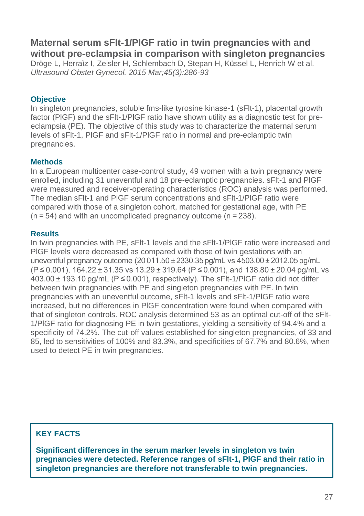## **Maternal serum sFlt-1/PlGF ratio in twin pregnancies with and without pre-eclampsia in comparison with singleton pregnancies**

Dröge L, Herraìz I, Zeisler H, Schlembach D, Stepan H, Küssel L, Henrich W et al. *Ultrasound Obstet Gynecol. 2015 Mar;45(3):286-93*

#### **Objective**

In singleton pregnancies, soluble fms-like tyrosine kinase-1 (sFlt-1), placental growth factor (PlGF) and the sFlt-1/PlGF ratio have shown utility as a diagnostic test for preeclampsia (PE). The objective of this study was to characterize the maternal serum levels of sFlt-1, PlGF and sFlt-1/PlGF ratio in normal and pre-eclamptic twin pregnancies.

#### **Methods**

In a European multicenter case-control study, 49 women with a twin pregnancy were enrolled, including 31 uneventful and 18 pre-eclamptic pregnancies. sFlt-1 and PlGF were measured and receiver-operating characteristics (ROC) analysis was performed. The median sFlt-1 and PlGF serum concentrations and sFlt-1/PlGF ratio were compared with those of a singleton cohort, matched for gestational age, with PE (n = 54) and with an uncomplicated pregnancy outcome (n = 238).

#### **Results**

In twin pregnancies with PE, sFlt-1 levels and the sFlt-1/PlGF ratio were increased and PlGF levels were decreased as compared with those of twin gestations with an uneventful pregnancy outcome (20 011.50 ± 2330.35 pg/mL vs 4503.00 ± 2012.05 pg/mL (P ≤ 0.001), 164.22 ± 31.35 vs 13.29 ± 319.64 (P ≤ 0.001), and 138.80 ± 20.04 pg/mL vs 403.00 ± 193.10 pg/mL (P ≤ 0.001), respectively). The sFlt-1/PlGF ratio did not differ between twin pregnancies with PE and singleton pregnancies with PE. In twin pregnancies with an uneventful outcome, sFlt-1 levels and sFlt-1/PlGF ratio were increased, but no differences in PlGF concentration were found when compared with that of singleton controls. ROC analysis determined 53 as an optimal cut-off of the sFlt-1/PlGF ratio for diagnosing PE in twin gestations, yielding a sensitivity of 94.4% and a specificity of 74.2%. The cut-off values established for singleton pregnancies, of 33 and 85, led to sensitivities of 100% and 83.3%, and specificities of 67.7% and 80.6%, when used to detect PE in twin pregnancies.

#### **KEY FACTS**

**Significant differences in the serum marker levels in singleton vs twin pregnancies were detected. Reference ranges of sFlt-1, PlGF and their ratio in singleton pregnancies are therefore not transferable to twin pregnancies.**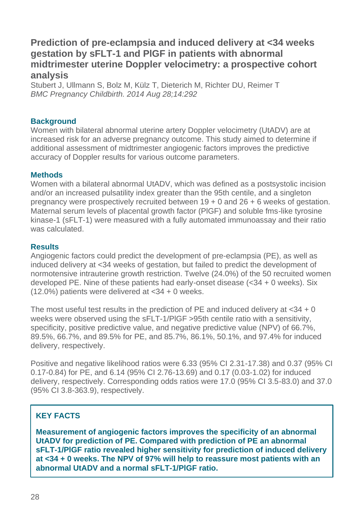## **Prediction of pre-eclampsia and induced delivery at <34 weeks gestation by sFLT-1 and PlGF in patients with abnormal midtrimester uterine Doppler velocimetry: a prospective cohort analysis**

Stubert J, Ullmann S, Bolz M, Külz T, Dieterich M, Richter DU, Reimer T *BMC Pregnancy Childbirth. 2014 Aug 28;14:292*

#### **Background**

Women with bilateral abnormal uterine artery Doppler velocimetry (UtADV) are at increased risk for an adverse pregnancy outcome. This study aimed to determine if additional assessment of midtrimester angiogenic factors improves the predictive accuracy of Doppler results for various outcome parameters.

#### **Methods**

Women with a bilateral abnormal UtADV, which was defined as a postsystolic incision and/or an increased pulsatility index greater than the 95th centile, and a singleton pregnancy were prospectively recruited between 19 + 0 and 26 + 6 weeks of gestation. Maternal serum levels of placental growth factor (PlGF) and soluble fms-like tyrosine kinase-1 (sFLT-1) were measured with a fully automated immunoassay and their ratio was calculated.

#### **Results**

Angiogenic factors could predict the development of pre-eclampsia (PE), as well as induced delivery at <34 weeks of gestation, but failed to predict the development of normotensive intrauterine growth restriction. Twelve (24.0%) of the 50 recruited women developed PE. Nine of these patients had early-onset disease  $( $34 + 0$  weeks)$ . Six (12.0%) patients were delivered at <34 + 0 weeks.

The most useful test results in the prediction of PE and induced delivery at  $<$ 34 + 0 weeks were observed using the sFLT-1/PlGF >95th centile ratio with a sensitivity, specificity, positive predictive value, and negative predictive value (NPV) of 66.7%, 89.5%, 66.7%, and 89.5% for PE, and 85.7%, 86.1%, 50.1%, and 97.4% for induced delivery, respectively.

Positive and negative likelihood ratios were 6.33 (95% CI 2.31-17.38) and 0.37 (95% CI 0.17-0.84) for PE, and 6.14 (95% CI 2.76-13.69) and 0.17 (0.03-1.02) for induced delivery, respectively. Corresponding odds ratios were 17.0 (95% CI 3.5-83.0) and 37.0 (95% CI 3.8-363.9), respectively.

#### **KEY FACTS**

**Measurement of angiogenic factors improves the specificity of an abnormal UtADV for prediction of PE. Compared with prediction of PE an abnormal sFLT-1/PlGF ratio revealed higher sensitivity for prediction of induced delivery at <34 + 0 weeks. The NPV of 97% will help to reassure most patients with an abnormal UtADV and a normal sFLT-1/PlGF ratio.**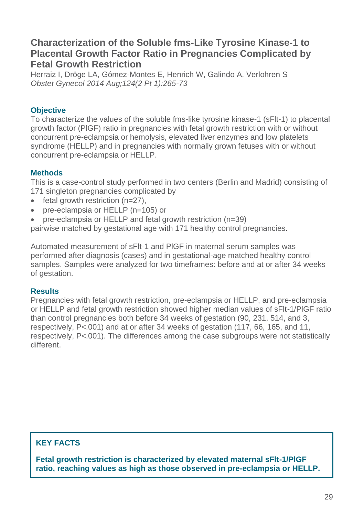## **Characterization of the Soluble fms-Like Tyrosine Kinase-1 to Placental Growth Factor Ratio in Pregnancies Complicated by Fetal Growth Restriction**

Herraiz I, Dröge LA, Gómez-Montes E, Henrich W, Galindo A, Verlohren S *Obstet Gynecol 2014 Aug;124(2 Pt 1):265-73*

#### **Objective**

To characterize the values of the soluble fms-like tyrosine kinase-1 (sFlt-1) to placental growth factor (PlGF) ratio in pregnancies with fetal growth restriction with or without concurrent pre-eclampsia or hemolysis, elevated liver enzymes and low platelets syndrome (HELLP) and in pregnancies with normally grown fetuses with or without concurrent pre-eclampsia or HELLP.

#### **Methods**

This is a case-control study performed in two centers (Berlin and Madrid) consisting of 171 singleton pregnancies complicated by

- fetal growth restriction  $(n=27)$ ,
- pre-eclampsia or HELLP (n=105) or
- pre-eclampsia or HELLP and fetal growth restriction (n=39)

pairwise matched by gestational age with 171 healthy control pregnancies.

Automated measurement of sFlt-1 and PlGF in maternal serum samples was performed after diagnosis (cases) and in gestational-age matched healthy control samples. Samples were analyzed for two timeframes: before and at or after 34 weeks of gestation.

#### **Results**

Pregnancies with fetal growth restriction, pre-eclampsia or HELLP, and pre-eclampsia or HELLP and fetal growth restriction showed higher median values of sFlt-1/PlGF ratio than control pregnancies both before 34 weeks of gestation (90, 231, 514, and 3, respectively, P<.001) and at or after 34 weeks of gestation (117, 66, 165, and 11, respectively, P<.001). The differences among the case subgroups were not statistically different.

## **KEY FACTS**

**Fetal growth restriction is characterized by elevated maternal sFlt-1/PlGF ratio, reaching values as high as those observed in pre-eclampsia or HELLP.**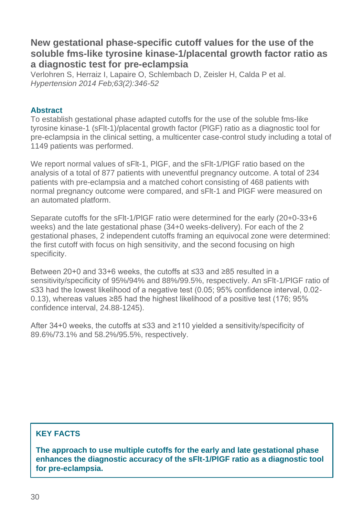## **New gestational phase-specific cutoff values for the use of the soluble fms-like tyrosine kinase-1/placental growth factor ratio as a diagnostic test for pre-eclampsia**

Verlohren S, Herraiz I, Lapaire O, Schlembach D, Zeisler H, Calda P et al. *Hypertension 2014 Feb;63(2):346-52*

#### **Abstract**

To establish gestational phase adapted cutoffs for the use of the soluble fms-like tyrosine kinase-1 (sFlt-1)/placental growth factor (PlGF) ratio as a diagnostic tool for pre-eclampsia in the clinical setting, a multicenter case-control study including a total of 1149 patients was performed.

We report normal values of sFlt-1, PlGF, and the sFlt-1/PlGF ratio based on the analysis of a total of 877 patients with uneventful pregnancy outcome. A total of 234 patients with pre-eclampsia and a matched cohort consisting of 468 patients with normal pregnancy outcome were compared, and sFlt-1 and PlGF were measured on an automated platform.

Separate cutoffs for the sFlt-1/PlGF ratio were determined for the early (20+0-33+6 weeks) and the late gestational phase (34+0 weeks-delivery). For each of the 2 gestational phases, 2 independent cutoffs framing an equivocal zone were determined: the first cutoff with focus on high sensitivity, and the second focusing on high specificity.

Between 20+0 and 33+6 weeks, the cutoffs at ≤33 and ≥85 resulted in a sensitivity/specificity of 95%/94% and 88%/99.5%, respectively. An sFlt-1/PlGF ratio of ≤33 had the lowest likelihood of a negative test (0.05; 95% confidence interval, 0.02- 0.13), whereas values ≥85 had the highest likelihood of a positive test (176; 95% confidence interval, 24.88-1245).

After 34+0 weeks, the cutoffs at ≤33 and ≥110 yielded a sensitivity/specificity of 89.6%/73.1% and 58.2%/95.5%, respectively.

#### **KEY FACTS**

**The approach to use multiple cutoffs for the early and late gestational phase enhances the diagnostic accuracy of the sFlt-1/PlGF ratio as a diagnostic tool for pre-eclampsia.**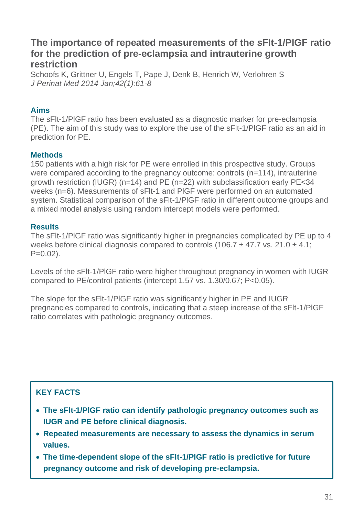## **The importance of repeated measurements of the sFlt-1/PlGF ratio for the prediction of pre-eclampsia and intrauterine growth restriction**

Schoofs K, Grittner U, Engels T, Pape J, Denk B, Henrich W, Verlohren S *J Perinat Med 2014 Jan;42(1):61-8*

#### **Aims**

The sFlt-1/PlGF ratio has been evaluated as a diagnostic marker for pre-eclampsia (PE). The aim of this study was to explore the use of the sFlt-1/PlGF ratio as an aid in prediction for PE.

#### **Methods**

150 patients with a high risk for PE were enrolled in this prospective study. Groups were compared according to the pregnancy outcome: controls (n=114), intrauterine growth restriction (IUGR) (n=14) and PE (n=22) with subclassification early PE<34 weeks (n=6). Measurements of sFlt-1 and PlGF were performed on an automated system. Statistical comparison of the sFlt-1/PlGF ratio in different outcome groups and a mixed model analysis using random intercept models were performed.

#### **Results**

The sFlt-1/PlGF ratio was significantly higher in pregnancies complicated by PE up to 4 weeks before clinical diagnosis compared to controls (106.7  $\pm$  47.7 vs. 21.0  $\pm$  4.1;  $P=0.02$ ).

Levels of the sFlt-1/PlGF ratio were higher throughout pregnancy in women with IUGR compared to PE/control patients (intercept 1.57 vs. 1.30/0.67; P<0.05).

The slope for the sFlt-1/PlGF ratio was significantly higher in PE and IUGR pregnancies compared to controls, indicating that a steep increase of the sFlt-1/PlGF ratio correlates with pathologic pregnancy outcomes.

## **KEY FACTS**

- **The sFlt-1/PlGF ratio can identify pathologic pregnancy outcomes such as IUGR and PE before clinical diagnosis.**
- **Repeated measurements are necessary to assess the dynamics in serum values.**
- **The time-dependent slope of the sFlt-1/PlGF ratio is predictive for future pregnancy outcome and risk of developing pre-eclampsia.**